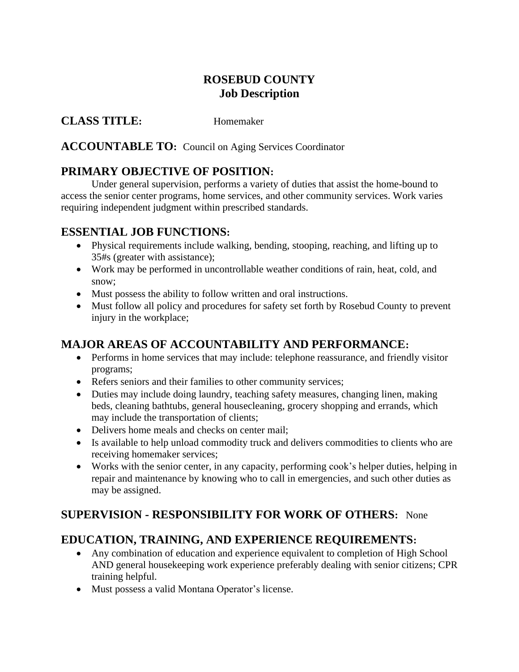# **ROSEBUD COUNTY Job Description**

**CLASS TITLE:** Homemaker

**ACCOUNTABLE TO:** Council on Aging Services Coordinator

# **PRIMARY OBJECTIVE OF POSITION:**

Under general supervision, performs a variety of duties that assist the home-bound to access the senior center programs, home services, and other community services. Work varies requiring independent judgment within prescribed standards.

#### **ESSENTIAL JOB FUNCTIONS:**

- Physical requirements include walking, bending, stooping, reaching, and lifting up to 35#s (greater with assistance);
- Work may be performed in uncontrollable weather conditions of rain, heat, cold, and snow;
- Must possess the ability to follow written and oral instructions.
- Must follow all policy and procedures for safety set forth by Rosebud County to prevent injury in the workplace;

# **MAJOR AREAS OF ACCOUNTABILITY AND PERFORMANCE:**

- Performs in home services that may include: telephone reassurance, and friendly visitor programs;
- Refers seniors and their families to other community services;
- Duties may include doing laundry, teaching safety measures, changing linen, making beds, cleaning bathtubs, general housecleaning, grocery shopping and errands, which may include the transportation of clients;
- Delivers home meals and checks on center mail:
- Is available to help unload commodity truck and delivers commodities to clients who are receiving homemaker services;
- Works with the senior center, in any capacity, performing cook's helper duties, helping in repair and maintenance by knowing who to call in emergencies, and such other duties as may be assigned.

# **SUPERVISION - RESPONSIBILITY FOR WORK OF OTHERS:** None

# **EDUCATION, TRAINING, AND EXPERIENCE REQUIREMENTS:**

- Any combination of education and experience equivalent to completion of High School AND general housekeeping work experience preferably dealing with senior citizens; CPR training helpful.
- Must possess a valid Montana Operator's license.